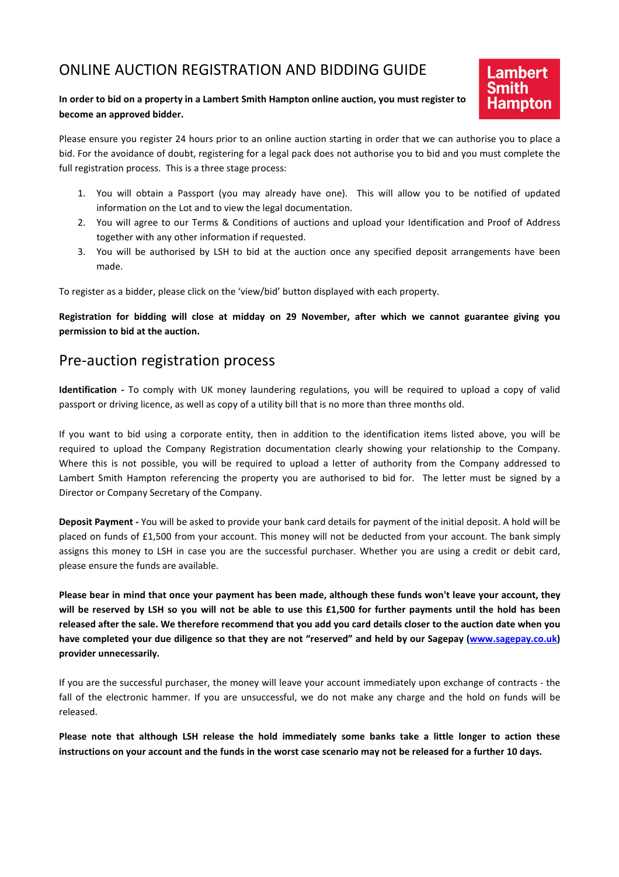## ONLINE AUCTION REGISTRATION AND BIDDING GUIDE

#### In order to bid on a property in a Lambert Smith Hampton online auction, you must register to become an approved bidder.

Please ensure you register 24 hours prior to an online auction starting in order that we can authorise you to place a bid. For the avoidance of doubt, registering for a legal pack does not authorise you to bid and you must complete the full registration process. This is a three stage process:

1. You will obtain a Passport (you may already have one). This will allow you to be notified of updated information on the Lot and to view the legal documentation.

**Lambert** 

- 2. You will agree to our Terms & Conditions of auctions and upload your Identification and Proof of Address together with any other information if requested.
- 3. You will be authorised by LSH to bid at the auction once any specified deposit arrangements have been made.

To register as a bidder, please click on the 'view/bid' button displayed with each property.

Registration for bidding will close at midday on 29 November, after which we cannot guarantee giving you permission to bid at the auction.

#### Pre-auction registration process

Identification - To comply with UK money laundering regulations, you will be required to upload a copy of valid passport or driving licence, as well as copy of a utility bill that is no more than three months old.

If you want to bid using a corporate entity, then in addition to the identification items listed above, you will be required to upload the Company Registration documentation clearly showing your relationship to the Company. Where this is not possible, you will be required to upload a letter of authority from the Company addressed to Lambert Smith Hampton referencing the property you are authorised to bid for. The letter must be signed by a Director or Company Secretary of the Company.

Deposit Payment - You will be asked to provide your bank card details for payment of the initial deposit. A hold will be placed on funds of £1,500 from your account. This money will not be deducted from your account. The bank simply assigns this money to LSH in case you are the successful purchaser. Whether you are using a credit or debit card, please ensure the funds are available.

Please bear in mind that once your payment has been made, although these funds won't leave your account, they will be reserved by LSH so you will not be able to use this £1,500 for further payments until the hold has been released after the sale. We therefore recommend that you add you card details closer to the auction date when you have completed your due diligence so that they are not "reserved" and held by our Sagepay (www.sagepay.co.uk) provider unnecessarily.

If you are the successful purchaser, the money will leave your account immediately upon exchange of contracts - the fall of the electronic hammer. If you are unsuccessful, we do not make any charge and the hold on funds will be released.

Please note that although LSH release the hold immediately some banks take a little longer to action these instructions on your account and the funds in the worst case scenario may not be released for a further 10 days.